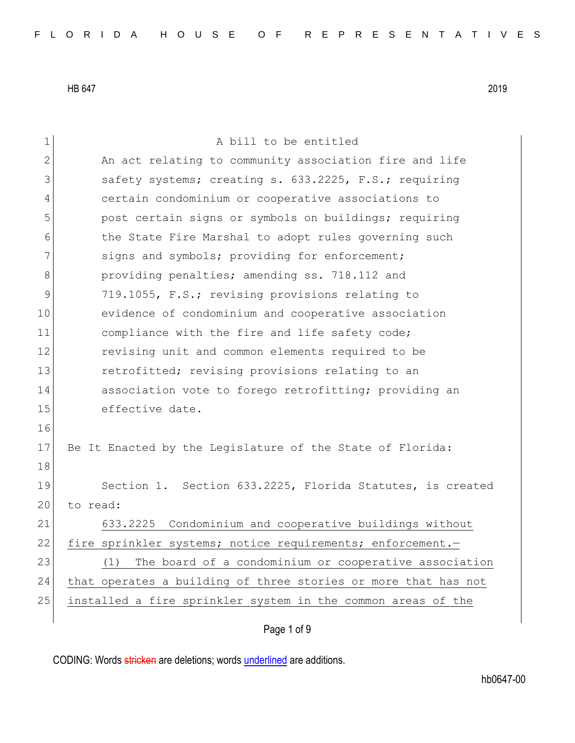1 a bill to be entitled 2 An act relating to community association fire and life 3 Safety systems; creating s. 633.2225, F.S.; requiring 4 certain condominium or cooperative associations to 5 post certain signs or symbols on buildings; requiring 6 6 the State Fire Marshal to adopt rules governing such 7 signs and symbols; providing for enforcement; 8 **b** providing penalties; amending ss. 718.112 and 9 719.1055, F.S.; revising provisions relating to 10 evidence of condominium and cooperative association 11 compliance with the fire and life safety code; 12 revising unit and common elements required to be 13 retrofitted; revising provisions relating to an 14 association vote to forego retrofitting; providing an 15 effective date. 16 17 Be It Enacted by the Legislature of the State of Florida: 18 19 Section 1. Section 633.2225, Florida Statutes, is created 20 to read: 21 633.2225 Condominium and cooperative buildings without 22 fire sprinkler systems; notice requirements; enforcement. 23 (1) The board of a condominium or cooperative association 24 that operates a building of three stories or more that has not 25 installed a fire sprinkler system in the common areas of the

Page 1 of 9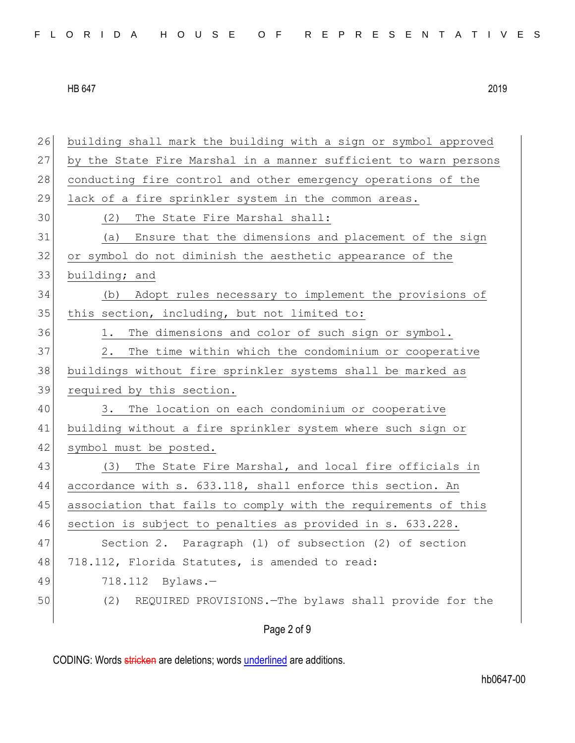| FLORIDA HOUSE OF REPRESENTATIVES |  |  |  |  |  |  |  |  |  |  |  |  |  |  |  |  |  |  |  |  |  |  |  |  |  |  |
|----------------------------------|--|--|--|--|--|--|--|--|--|--|--|--|--|--|--|--|--|--|--|--|--|--|--|--|--|--|
|----------------------------------|--|--|--|--|--|--|--|--|--|--|--|--|--|--|--|--|--|--|--|--|--|--|--|--|--|--|

26 building shall mark the building with a sign or symbol approved

HB 647 2019

27 by the State Fire Marshal in a manner sufficient to warn persons 28 conducting fire control and other emergency operations of the 29 lack of a fire sprinkler system in the common areas. 30 (2) The State Fire Marshal shall: 31 (a) Ensure that the dimensions and placement of the sign 32 or symbol do not diminish the aesthetic appearance of the 33 building; and 34 (b) Adopt rules necessary to implement the provisions of 35 this section, including, but not limited to: 36 1. The dimensions and color of such sign or symbol. 37 2. The time within which the condominium or cooperative 38 buildings without fire sprinkler systems shall be marked as 39 required by this section. 40 3. The location on each condominium or cooperative 41 building without a fire sprinkler system where such sign or 42 symbol must be posted. 43 (3) The State Fire Marshal, and local fire officials in 44 accordance with s. 633.118, shall enforce this section. An 45 association that fails to comply with the requirements of this 46 section is subject to penalties as provided in s. 633.228. 47 Section 2. Paragraph (l) of subsection (2) of section 48 718.112, Florida Statutes, is amended to read: 49 718.112 Bylaws.— 50 (2) REQUIRED PROVISIONS.—The bylaws shall provide for the

Page 2 of 9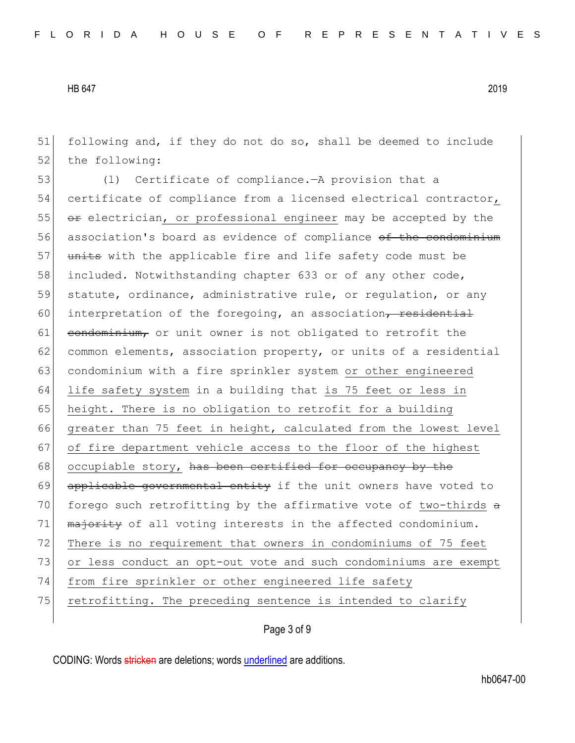51 following and, if they do not do so, shall be deemed to include 52 the following:

53 (l) Certificate of compliance.—A provision that a 54 certificate of compliance from a licensed electrical contractor,  $55$   $\sigma$  electrician, or professional engineer may be accepted by the 56 association's board as evidence of compliance of the condominium 57 units with the applicable fire and life safety code must be 58 included. Notwithstanding chapter 633 or of any other code, 59 statute, ordinance, administrative rule, or regulation, or any 60 interpretation of the foregoing, an association, residential  $61$  condominium, or unit owner is not obligated to retrofit the 62 common elements, association property, or units of a residential 63 condominium with a fire sprinkler system or other engineered 64 life safety system in a building that is 75 feet or less in 65 height. There is no obligation to retrofit for a building 66 greater than 75 feet in height, calculated from the lowest level 67 of fire department vehicle access to the floor of the highest 68 occupiable story, has been certified for occupancy by the 69 applicable governmental entity if the unit owners have voted to 70 forego such retrofitting by the affirmative vote of two-thirds  $a$ 71 matority of all voting interests in the affected condominium. 72 There is no requirement that owners in condominiums of 75 feet 73 or less conduct an opt-out vote and such condominiums are exempt 74 from fire sprinkler or other engineered life safety 75 retrofitting. The preceding sentence is intended to clarify

## Page 3 of 9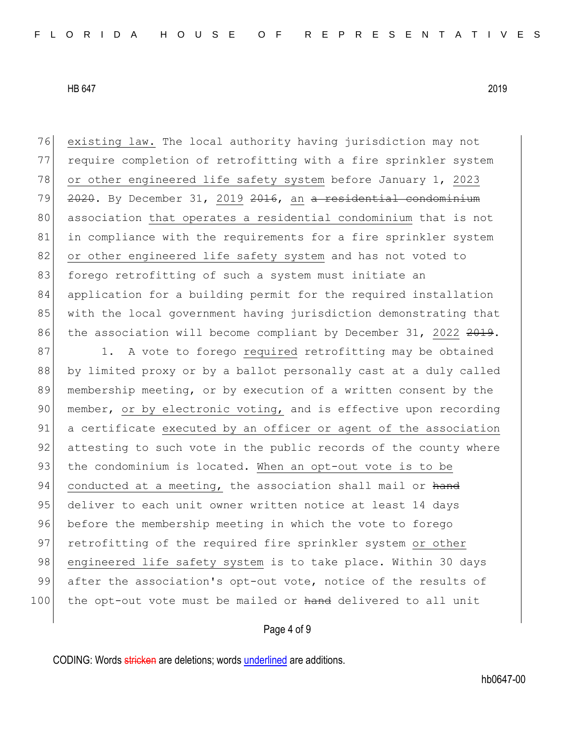76 existing law. The local authority having jurisdiction may not 77 require completion of retrofitting with a fire sprinkler system 78 or other engineered life safety system before January 1, 2023 79  $2020$ . By December 31, 2019 2016, an a residential condominium 80 association that operates a residential condominium that is not 81 in compliance with the requirements for a fire sprinkler system 82 or other engineered life safety system and has not voted to 83 forego retrofitting of such a system must initiate an 84 application for a building permit for the required installation 85 with the local government having jurisdiction demonstrating that 86 the association will become compliant by December 31, 2022 2019.

87 1. A vote to forego required retrofitting may be obtained 88 by limited proxy or by a ballot personally cast at a duly called 89 membership meeting, or by execution of a written consent by the 90 member, or by electronic voting, and is effective upon recording 91 a certificate executed by an officer or agent of the association 92 attesting to such vote in the public records of the county where 93 the condominium is located. When an opt-out vote is to be 94 conducted at a meeting, the association shall mail or hand 95 deliver to each unit owner written notice at least 14 days 96 before the membership meeting in which the vote to forego 97 retrofitting of the required fire sprinkler system or other 98 engineered life safety system is to take place. Within 30 days 99 after the association's opt-out vote, notice of the results of 100 the opt-out vote must be mailed or hand delivered to all unit

## Page 4 of 9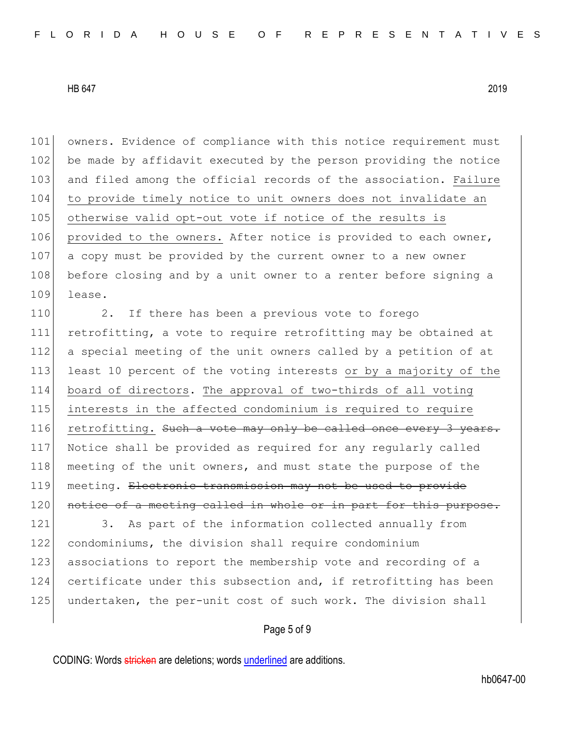101 owners. Evidence of compliance with this notice requirement must 102 be made by affidavit executed by the person providing the notice 103 and filed among the official records of the association. Failure 104 to provide timely notice to unit owners does not invalidate an 105 otherwise valid opt-out vote if notice of the results is 106 provided to the owners. After notice is provided to each owner, 107 a copy must be provided by the current owner to a new owner 108 before closing and by a unit owner to a renter before signing a 109 lease.

110 2. If there has been a previous vote to forego 111 retrofitting, a vote to require retrofitting may be obtained at 112 a special meeting of the unit owners called by a petition of at 113 least 10 percent of the voting interests or by a majority of the 114 board of directors. The approval of two-thirds of all voting 115 interests in the affected condominium is required to require 116 retrofitting. Such a vote may only be called once every 3 years. 117 Notice shall be provided as required for any regularly called 118 meeting of the unit owners, and must state the purpose of the 119 meeting. Electronic transmission may not be used to provide 120 notice of a meeting called in whole or in part for this purpose.

121 3. As part of the information collected annually from 122 condominiums, the division shall require condominium 123 associations to report the membership vote and recording of a 124 certificate under this subsection and, if retrofitting has been 125 undertaken, the per-unit cost of such work. The division shall

#### Page 5 of 9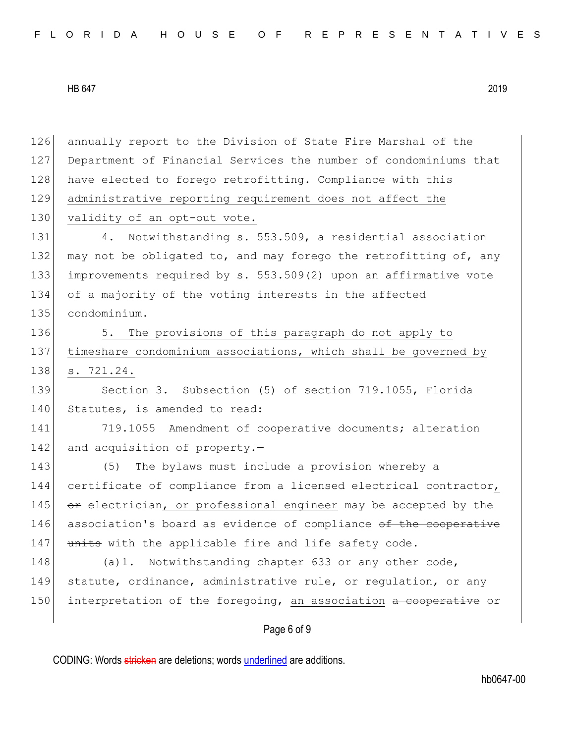126 annually report to the Division of State Fire Marshal of the 127 Department of Financial Services the number of condominiums that 128 have elected to forego retrofitting. Compliance with this 129 administrative reporting requirement does not affect the 130 validity of an opt-out vote. 131 4. Notwithstanding s. 553.509, a residential association 132 may not be obligated to, and may forego the retrofitting of, any 133 improvements required by s. 553.509(2) upon an affirmative vote 134 of a majority of the voting interests in the affected 135 condominium. 136 5. The provisions of this paragraph do not apply to 137 timeshare condominium associations, which shall be governed by 138 s. 721.24. 139 Section 3. Subsection (5) of section 719.1055, Florida 140 Statutes, is amended to read: 141 719.1055 Amendment of cooperative documents; alteration 142 and acquisition of property. $-$ 143 (5) The bylaws must include a provision whereby a 144 certificate of compliance from a licensed electrical contractor, 145  $\sigma$  electrician, or professional engineer may be accepted by the 146 association's board as evidence of compliance of the cooperative 147 units with the applicable fire and life safety code. 148 (a)1. Notwithstanding chapter 633 or any other code, 149 statute, ordinance, administrative rule, or regulation, or any 150 interpretation of the foregoing, an association a cooperative or

Page 6 of 9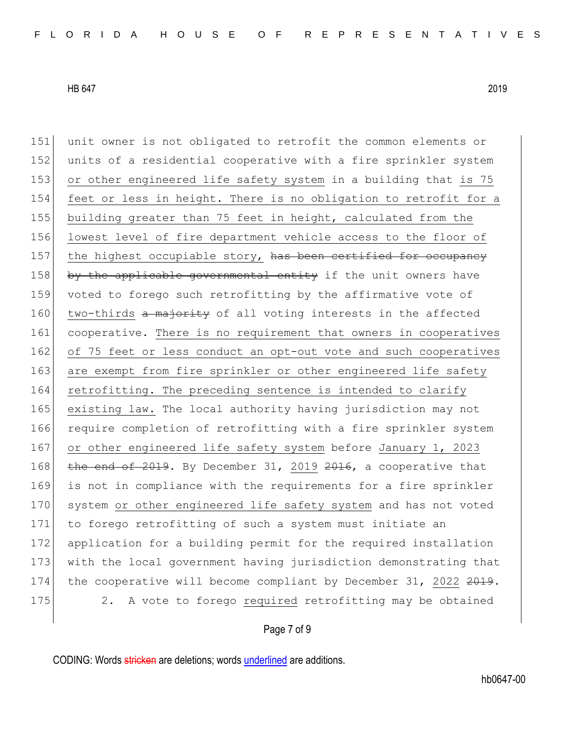151 unit owner is not obligated to retrofit the common elements or 152 units of a residential cooperative with a fire sprinkler system

HB 647 2019

153 or other engineered life safety system in a building that is 75 154 feet or less in height. There is no obligation to retrofit for a 155 building greater than 75 feet in height, calculated from the 156 lowest level of fire department vehicle access to the floor of 157 the highest occupiable story, has been certified for occupancy 158 by the applicable governmental entity if the unit owners have 159 voted to forego such retrofitting by the affirmative vote of 160 two-thirds a majority of all voting interests in the affected 161 cooperative. There is no requirement that owners in cooperatives 162 of 75 feet or less conduct an opt-out vote and such cooperatives 163 are exempt from fire sprinkler or other engineered life safety 164 retrofitting. The preceding sentence is intended to clarify 165 existing law. The local authority having jurisdiction may not 166 require completion of retrofitting with a fire sprinkler system 167 or other engineered life safety system before January 1, 2023 168 the end of 2019. By December 31, 2019  $2016$ , a cooperative that 169 is not in compliance with the requirements for a fire sprinkler 170 system or other engineered life safety system and has not voted 171 to forego retrofitting of such a system must initiate an 172 application for a building permit for the required installation 173 with the local government having jurisdiction demonstrating that 174 the cooperative will become compliant by December 31, 2022 2019.

175 2. A vote to forego required retrofitting may be obtained

## Page 7 of 9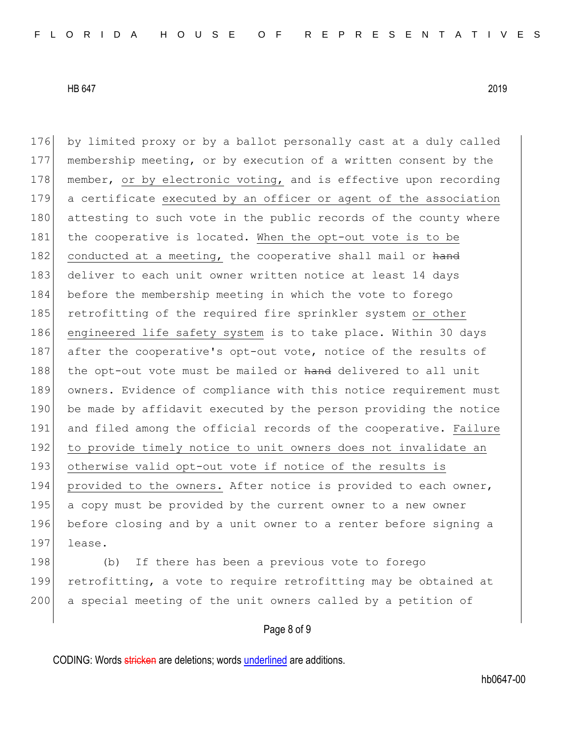176 by limited proxy or by a ballot personally cast at a duly called 177 membership meeting, or by execution of a written consent by the 178 member, or by electronic voting, and is effective upon recording 179 a certificate executed by an officer or agent of the association 180 attesting to such vote in the public records of the county where 181 the cooperative is located. When the opt-out vote is to be 182 conducted at a meeting, the cooperative shall mail or hand 183 deliver to each unit owner written notice at least 14 days 184 before the membership meeting in which the vote to forego 185 retrofitting of the required fire sprinkler system or other 186 engineered life safety system is to take place. Within 30 days 187 after the cooperative's opt-out vote, notice of the results of 188 the opt-out vote must be mailed or hand delivered to all unit 189 owners. Evidence of compliance with this notice requirement must 190 be made by affidavit executed by the person providing the notice 191 and filed among the official records of the cooperative. Failure 192 to provide timely notice to unit owners does not invalidate an 193 otherwise valid opt-out vote if notice of the results is 194 provided to the owners. After notice is provided to each owner, 195 a copy must be provided by the current owner to a new owner 196 before closing and by a unit owner to a renter before signing a 197 lease.

198 (b) If there has been a previous vote to forego 199 retrofitting, a vote to require retrofitting may be obtained at 200 a special meeting of the unit owners called by a petition of

# Page 8 of 9